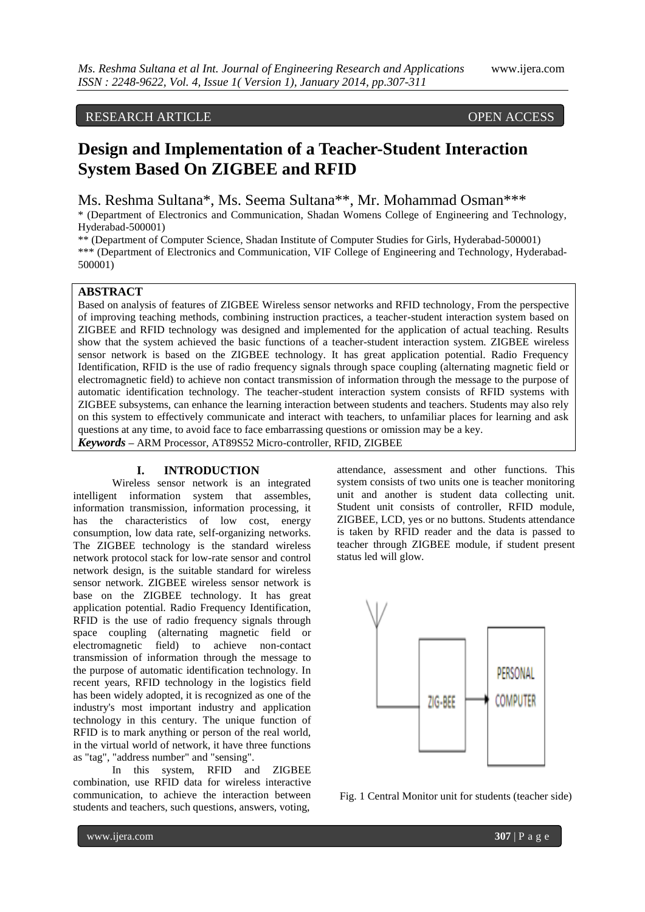# RESEARCH ARTICLE OPEN ACCESS

# **Design and Implementation of a Teacher-Student Interaction System Based On ZIGBEE and RFID**

Ms. Reshma Sultana\*, Ms. Seema Sultana\*\*, Mr. Mohammad Osman\*\*\*

\* (Department of Electronics and Communication, Shadan Womens College of Engineering and Technology, Hyderabad-500001)

\*\* (Department of Computer Science, Shadan Institute of Computer Studies for Girls, Hyderabad-500001) \*\*\* (Department of Electronics and Communication, VIF College of Engineering and Technology, Hyderabad-500001)

# **ABSTRACT**

Based on analysis of features of ZIGBEE Wireless sensor networks and RFID technology, From the perspective of improving teaching methods, combining instruction practices, a teacher-student interaction system based on ZIGBEE and RFID technology was designed and implemented for the application of actual teaching. Results show that the system achieved the basic functions of a teacher-student interaction system. ZIGBEE wireless sensor network is based on the ZIGBEE technology. It has great application potential. Radio Frequency Identification, RFID is the use of radio frequency signals through space coupling (alternating magnetic field or electromagnetic field) to achieve non contact transmission of information through the message to the purpose of automatic identification technology. The teacher-student interaction system consists of RFID systems with ZIGBEE subsystems, can enhance the learning interaction between students and teachers. Students may also rely on this system to effectively communicate and interact with teachers, to unfamiliar places for learning and ask questions at any time, to avoid face to face embarrassing questions or omission may be a key.

*Keywords* **–** ARM Processor, AT89S52 Micro-controller, RFID, ZIGBEE

## **I. INTRODUCTION**

Wireless sensor network is an integrated intelligent information system that assembles, information transmission, information processing, it has the characteristics of low cost, energy consumption, low data rate, self-organizing networks. The ZIGBEE technology is the standard wireless network protocol stack for low-rate sensor and control network design, is the suitable standard for wireless sensor network. ZIGBEE wireless sensor network is base on the ZIGBEE technology. It has great application potential. Radio Frequency Identification, RFID is the use of radio frequency signals through space coupling (alternating magnetic field or electromagnetic field) to achieve non-contact transmission of information through the message to the purpose of automatic identification technology. In recent years, RFID technology in the logistics field has been widely adopted, it is recognized as one of the industry's most important industry and application technology in this century. The unique function of RFID is to mark anything or person of the real world, in the virtual world of network, it have three functions as "tag", "address number" and "sensing".

In this system, RFID and ZIGBEE combination, use RFID data for wireless interactive communication, to achieve the interaction between students and teachers, such questions, answers, voting,

attendance, assessment and other functions. This system consists of two units one is teacher monitoring unit and another is student data collecting unit. Student unit consists of controller, RFID module, ZIGBEE, LCD, yes or no buttons. Students attendance is taken by RFID reader and the data is passed to teacher through ZIGBEE module, if student present status led will glow.



Fig. 1 Central Monitor unit for students (teacher side)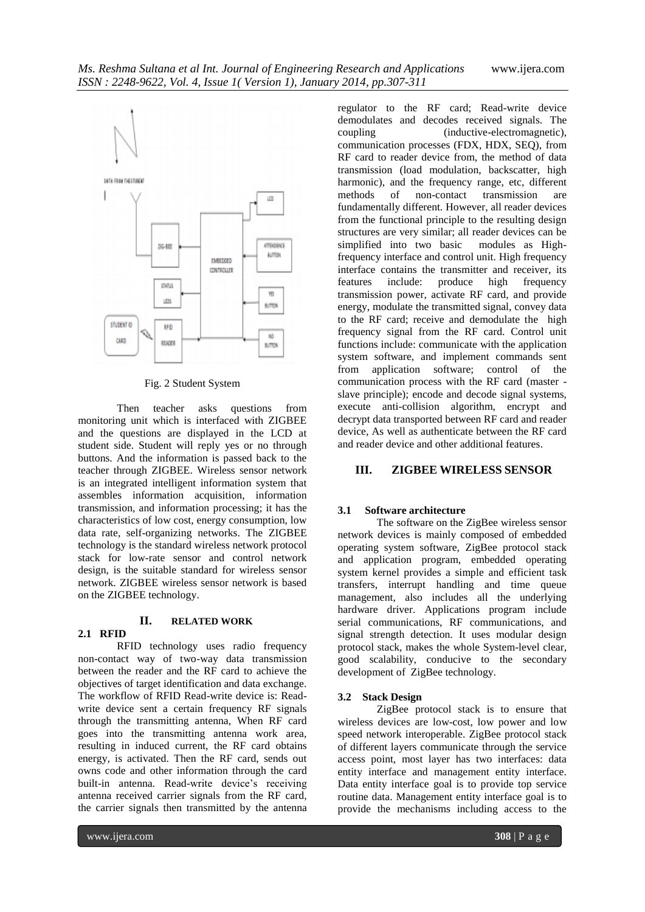

Fig. 2 Student System

Then teacher asks questions from monitoring unit which is interfaced with ZIGBEE and the questions are displayed in the LCD at student side. Student will reply yes or no through buttons. And the information is passed back to the teacher through ZIGBEE. Wireless sensor network is an integrated intelligent information system that assembles information acquisition, information transmission, and information processing; it has the characteristics of low cost, energy consumption, low data rate, self-organizing networks. The ZIGBEE technology is the standard wireless network protocol stack for low-rate sensor and control network design, is the suitable standard for wireless sensor network. ZIGBEE wireless sensor network is based on the ZIGBEE technology.

## **II. RELATED WORK**

## **2.1 RFID**

RFID technology uses radio frequency non-contact way of two-way data transmission between the reader and the RF card to achieve the objectives of target identification and data exchange. The workflow of RFID Read-write device is: Readwrite device sent a certain frequency RF signals through the transmitting antenna, When RF card goes into the transmitting antenna work area, resulting in induced current, the RF card obtains energy, is activated. Then the RF card, sends out owns code and other information through the card built-in antenna. Read-write device's receiving antenna received carrier signals from the RF card, the carrier signals then transmitted by the antenna

regulator to the RF card; Read-write device demodulates and decodes received signals. The coupling (inductive-electromagnetic), communication processes (FDX, HDX, SEQ), from RF card to reader device from, the method of data transmission (load modulation, backscatter, high harmonic), and the frequency range, etc, different<br>methods of non-contact transmission are transmission are fundamentally different. However, all reader devices from the functional principle to the resulting design structures are very similar; all reader devices can be simplified into two basic modules as Highfrequency interface and control unit. High frequency interface contains the transmitter and receiver, its features include: produce high frequency transmission power, activate RF card, and provide energy, modulate the transmitted signal, convey data to the RF card; receive and demodulate the high frequency signal from the RF card. Control unit functions include: communicate with the application system software, and implement commands sent from application software; control of the communication process with the RF card (master slave principle); encode and decode signal systems, execute anti-collision algorithm, encrypt and decrypt data transported between RF card and reader device, As well as authenticate between the RF card and reader device and other additional features.

## **III. ZIGBEE WIRELESS SENSOR**

#### **3.1 Software architecture**

The software on the ZigBee wireless sensor network devices is mainly composed of embedded operating system software, ZigBee protocol stack and application program, embedded operating system kernel provides a simple and efficient task transfers, interrupt handling and time queue management, also includes all the underlying hardware driver. Applications program include serial communications, RF communications, and signal strength detection. It uses modular design protocol stack, makes the whole System-level clear, good scalability, conducive to the secondary development of ZigBee technology.

## **3.2 Stack Design**

ZigBee protocol stack is to ensure that wireless devices are low-cost, low power and low speed network interoperable. ZigBee protocol stack of different layers communicate through the service access point, most layer has two interfaces: data entity interface and management entity interface. Data entity interface goal is to provide top service routine data. Management entity interface goal is to provide the mechanisms including access to the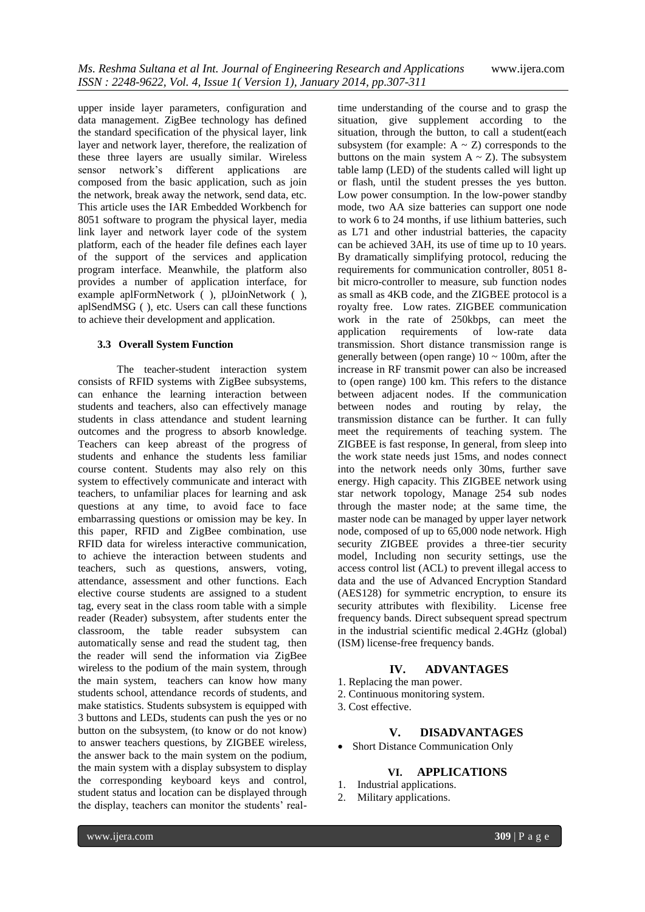upper inside layer parameters, configuration and data management. ZigBee technology has defined the standard specification of the physical layer, link layer and network layer, therefore, the realization of these three layers are usually similar. Wireless sensor network's different applications are composed from the basic application, such as join the network, break away the network, send data, etc. This article uses the IAR Embedded Workbench for 8051 software to program the physical layer, media link layer and network layer code of the system platform, each of the header file defines each layer of the support of the services and application program interface. Meanwhile, the platform also provides a number of application interface, for example aplFormNetwork ( ), plJoinNetwork ( ), aplSendMSG ( ), etc. Users can call these functions to achieve their development and application.

#### **3.3 Overall System Function**

The teacher-student interaction system consists of RFID systems with ZigBee subsystems, can enhance the learning interaction between students and teachers, also can effectively manage students in class attendance and student learning outcomes and the progress to absorb knowledge. Teachers can keep abreast of the progress of students and enhance the students less familiar course content. Students may also rely on this system to effectively communicate and interact with teachers, to unfamiliar places for learning and ask questions at any time, to avoid face to face embarrassing questions or omission may be key. In this paper, RFID and ZigBee combination, use RFID data for wireless interactive communication, to achieve the interaction between students and teachers, such as questions, answers, voting, attendance, assessment and other functions. Each elective course students are assigned to a student tag, every seat in the class room table with a simple reader (Reader) subsystem, after students enter the classroom, the table reader subsystem can automatically sense and read the student tag, then the reader will send the information via ZigBee wireless to the podium of the main system, through the main system, teachers can know how many students school, attendance records of students, and make statistics. Students subsystem is equipped with 3 buttons and LEDs, students can push the yes or no button on the subsystem, (to know or do not know) to answer teachers questions, by ZIGBEE wireless, the answer back to the main system on the podium, the main system with a display subsystem to display the corresponding keyboard keys and control, student status and location can be displayed through the display, teachers can monitor the students' realtime understanding of the course and to grasp the situation, give supplement according to the situation, through the button, to call a student(each subsystem (for example:  $A \sim Z$ ) corresponds to the buttons on the main system  $A \sim Z$ ). The subsystem table lamp (LED) of the students called will light up or flash, until the student presses the yes button. Low power consumption. In the low-power standby mode, two AA size batteries can support one node to work 6 to 24 months, if use lithium batteries, such as L71 and other industrial batteries, the capacity can be achieved 3AH, its use of time up to 10 years. By dramatically simplifying protocol, reducing the requirements for communication controller, 8051 8 bit micro-controller to measure, sub function nodes as small as 4KB code, and the ZIGBEE protocol is a royalty free. Low rates. ZIGBEE communication work in the rate of 250kbps, can meet the application requirements of low-rate data transmission. Short distance transmission range is generally between (open range)  $10 \sim 100$ m, after the increase in RF transmit power can also be increased to (open range) 100 km. This refers to the distance between adjacent nodes. If the communication between nodes and routing by relay, the transmission distance can be further. It can fully meet the requirements of teaching system. The ZIGBEE is fast response, In general, from sleep into the work state needs just 15ms, and nodes connect into the network needs only 30ms, further save energy. High capacity. This ZIGBEE network using star network topology, Manage 254 sub nodes through the master node; at the same time, the master node can be managed by upper layer network node, composed of up to 65,000 node network. High security ZIGBEE provides a three-tier security model, Including non security settings, use the access control list (ACL) to prevent illegal access to data and the use of Advanced Encryption Standard (AES128) for symmetric encryption, to ensure its security attributes with flexibility. License free frequency bands. Direct subsequent spread spectrum in the industrial scientific medical 2.4GHz (global) (ISM) license-free frequency bands.

## **IV. ADVANTAGES**

- 1. Replacing the man power.
- 2. Continuous monitoring system.
- 3. Cost effective.

#### **V. DISADVANTAGES**

• Short Distance Communication Only

#### **VI. APPLICATIONS**

- 1. Industrial applications.
- 2. Military applications.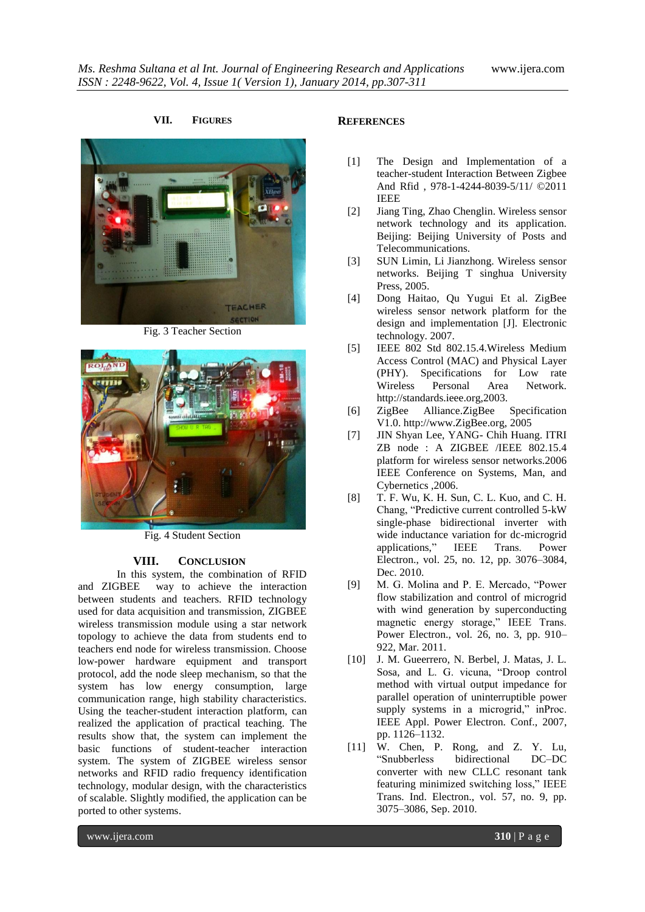

**VII. FIGURES**

Fig. 3 Teacher Section



Fig. 4 Student Section

#### **VIII. CONCLUSION**

In this system, the combination of RFID and ZIGBEE way to achieve the interaction between students and teachers. RFID technology used for data acquisition and transmission, ZIGBEE wireless transmission module using a star network topology to achieve the data from students end to teachers end node for wireless transmission. Choose low-power hardware equipment and transport protocol, add the node sleep mechanism, so that the system has low energy consumption, large communication range, high stability characteristics. Using the teacher-student interaction platform, can realized the application of practical teaching. The results show that, the system can implement the basic functions of student-teacher interaction system. The system of ZIGBEE wireless sensor networks and RFID radio frequency identification technology, modular design, with the characteristics of scalable. Slightly modified, the application can be ported to other systems.

#### **REFERENCES**

- [1] The Design and Implementation of a teacher-student Interaction Between Zigbee And Rfid , 978-1-4244-8039-5/11/ ©2011 IEEE
- [2] Jiang Ting, Zhao Chenglin. Wireless sensor network technology and its application. Beijing: Beijing University of Posts and Telecommunications.
- [3] SUN Limin, Li Jianzhong. Wireless sensor networks. Beijing T singhua University Press, 2005.
- [4] Dong Haitao, Qu Yugui Et al. ZigBee wireless sensor network platform for the design and implementation [J]. Electronic technology. 2007.
- [5] IEEE 802 Std 802.15.4.Wireless Medium Access Control (MAC) and Physical Layer (PHY). Specifications for Low rate Wireless Personal Area Network. http://standards.ieee.org,2003.
- [6] ZigBee Alliance.ZigBee Specification V1.0. http://www.ZigBee.org, 2005
- [7] JIN Shyan Lee, YANG- Chih Huang. ITRI ZB node : A ZIGBEE /IEEE 802.15.4 platform for wireless sensor networks.2006 IEEE Conference on Systems, Man, and Cybernetics ,2006.
- [8] T. F. Wu, K. H. Sun, C. L. Kuo, and C. H. Chang, "Predictive current controlled 5-kW single-phase bidirectional inverter with wide inductance variation for dc-microgrid applications," IEEE Trans. Power Electron., vol. 25, no. 12, pp. 3076–3084, Dec. 2010.
- [9] M. G. Molina and P. E. Mercado, "Power flow stabilization and control of microgrid with wind generation by superconducting magnetic energy storage," IEEE Trans. Power Electron., vol. 26, no. 3, pp. 910– 922, Mar. 2011.
- [10] J. M. Gueerrero, N. Berbel, J. Matas, J. L. Sosa, and L. G. vicuna, "Droop control method with virtual output impedance for parallel operation of uninterruptible power supply systems in a microgrid," inProc. IEEE Appl. Power Electron. Conf., 2007, pp. 1126–1132.
- [11] W. Chen, P. Rong, and Z. Y. Lu, "Snubberless bidirectional converter with new CLLC resonant tank featuring minimized switching loss," IEEE Trans. Ind. Electron., vol. 57, no. 9, pp. 3075–3086, Sep. 2010.